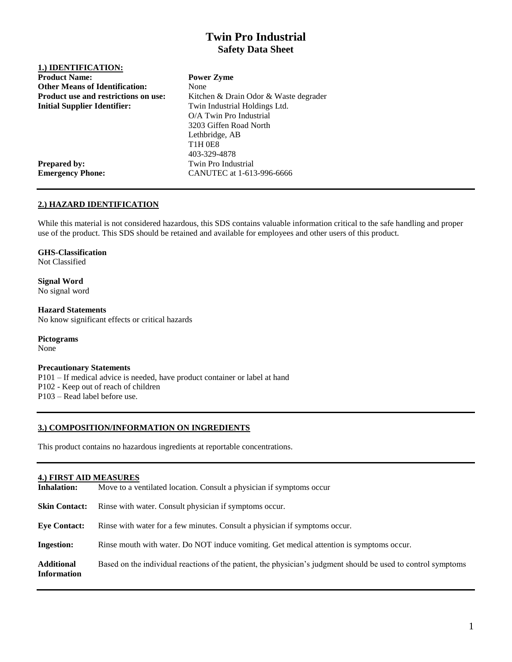## **Twin Pro Industrial Safety Data Sheet**

| 1.) IDENTIFICATION:                         |                                       |
|---------------------------------------------|---------------------------------------|
| <b>Product Name:</b>                        | <b>Power Zyme</b>                     |
| <b>Other Means of Identification:</b>       | None                                  |
| <b>Product use and restrictions on use:</b> | Kitchen & Drain Odor & Waste degrader |
| <b>Initial Supplier Identifier:</b>         | Twin Industrial Holdings Ltd.         |
|                                             | O/A Twin Pro Industrial               |
|                                             | 3203 Giffen Road North                |
|                                             | Lethbridge, AB                        |
|                                             | <b>T1H 0E8</b>                        |
|                                             | 403-329-4878                          |
| <b>Prepared by:</b>                         | Twin Pro Industrial                   |
| <b>Emergency Phone:</b>                     | CANUTEC at 1-613-996-6666             |

## **2.) HAZARD IDENTIFICATION**

While this material is not considered hazardous, this SDS contains valuable information critical to the safe handling and proper use of the product. This SDS should be retained and available for employees and other users of this product.

## **GHS-Classification**

Not Classified

**Signal Word** No signal word

**Hazard Statements** No know significant effects or critical hazards

**Pictograms**

None

## **Precautionary Statements**

P101 – If medical advice is needed, have product container or label at hand P102 - Keep out of reach of children P103 – Read label before use.

## **3.) COMPOSITION/INFORMATION ON INGREDIENTS**

This product contains no hazardous ingredients at reportable concentrations.

# **4.) FIRST AID MEASURES Inhalation:** Move to a ventilated location. Consult a physician if symptoms occur **Skin Contact:** Rinse with water. Consult physician if symptoms occur. **Eye Contact:** Rinse with water for a few minutes. Consult a physician if symptoms occur. **Ingestion:** Rinse mouth with water. Do NOT induce vomiting. Get medical attention is symptoms occur. **Additional** Based on the individual reactions of the patient, the physician's judgment should be used to control symptoms **Information**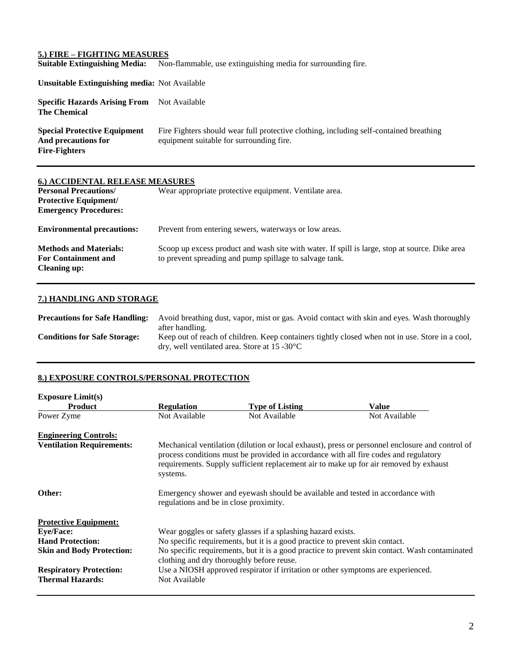## **5.) FIRE – FIGHTING MEASURES**

**Suitable Extinguishing Media:** Non-flammable, use extinguishing media for surrounding fire.

| <b>Unsuitable Extinguishing media: Not Available</b>                               |                                                                                                                                    |
|------------------------------------------------------------------------------------|------------------------------------------------------------------------------------------------------------------------------------|
| <b>Specific Hazards Arising From</b> Not Available<br><b>The Chemical</b>          |                                                                                                                                    |
| <b>Special Protective Equipment</b><br>And precautions for<br><b>Fire-Fighters</b> | Fire Fighters should wear full protective clothing, including self-contained breathing<br>equipment suitable for surrounding fire. |

| 6.) ACCIDENTAL RELEASE MEASURES<br><b>Personal Precautions/</b><br><b>Protective Equipment/</b><br><b>Emergency Procedures:</b> | Wear appropriate protective equipment. Ventilate area.                                                                                                    |
|---------------------------------------------------------------------------------------------------------------------------------|-----------------------------------------------------------------------------------------------------------------------------------------------------------|
| <b>Environmental precautions:</b>                                                                                               | Prevent from entering sewers, waterways or low areas.                                                                                                     |
| <b>Methods and Materials:</b><br><b>For Containment and</b><br><b>Cleaning up:</b>                                              | Scoop up excess product and wash site with water. If spill is large, stop at source. Dike area<br>to prevent spreading and pump spillage to salvage tank. |

## **7.) HANDLING AND STORAGE**

**Precautions for Safe Handling:** Avoid breathing dust, vapor, mist or gas. Avoid contact with skin and eyes. Wash thoroughly after handling. **Conditions for Safe Storage:** Keep out of reach of children. Keep containers tightly closed when not in use. Store in a cool, dry, well ventilated area. Store at 15 -30°C

## **8.) EXPOSURE CONTROLS/PERSONAL PROTECTION**

| <b>Exposure Limit(s)</b>         |                                                                                                                                                                                                                                                                                              |                                                                                  |               |
|----------------------------------|----------------------------------------------------------------------------------------------------------------------------------------------------------------------------------------------------------------------------------------------------------------------------------------------|----------------------------------------------------------------------------------|---------------|
| <b>Product</b>                   | <b>Regulation</b>                                                                                                                                                                                                                                                                            | <b>Type of Listing</b>                                                           | Value         |
| Power Zyme                       | Not Available                                                                                                                                                                                                                                                                                | Not Available                                                                    | Not Available |
| <b>Engineering Controls:</b>     |                                                                                                                                                                                                                                                                                              |                                                                                  |               |
| <b>Ventilation Requirements:</b> | Mechanical ventilation (dilution or local exhaust), press or personnel enclosure and control of<br>process conditions must be provided in accordance with all fire codes and regulatory<br>requirements. Supply sufficient replacement air to make up for air removed by exhaust<br>systems. |                                                                                  |               |
| Other:                           | Emergency shower and eyewash should be available and tested in accordance with<br>regulations and be in close proximity.                                                                                                                                                                     |                                                                                  |               |
| <b>Protective Equipment:</b>     |                                                                                                                                                                                                                                                                                              |                                                                                  |               |
| <b>Eye/Face:</b>                 |                                                                                                                                                                                                                                                                                              | Wear goggles or safety glasses if a splashing hazard exists.                     |               |
| <b>Hand Protection:</b>          | No specific requirements, but it is a good practice to prevent skin contact.                                                                                                                                                                                                                 |                                                                                  |               |
| <b>Skin and Body Protection:</b> | No specific requirements, but it is a good practice to prevent skin contact. Wash contaminated<br>clothing and dry thoroughly before reuse.                                                                                                                                                  |                                                                                  |               |
| <b>Respiratory Protection:</b>   |                                                                                                                                                                                                                                                                                              | Use a NIOSH approved respirator if irritation or other symptoms are experienced. |               |
| <b>Thermal Hazards:</b>          | Not Available                                                                                                                                                                                                                                                                                |                                                                                  |               |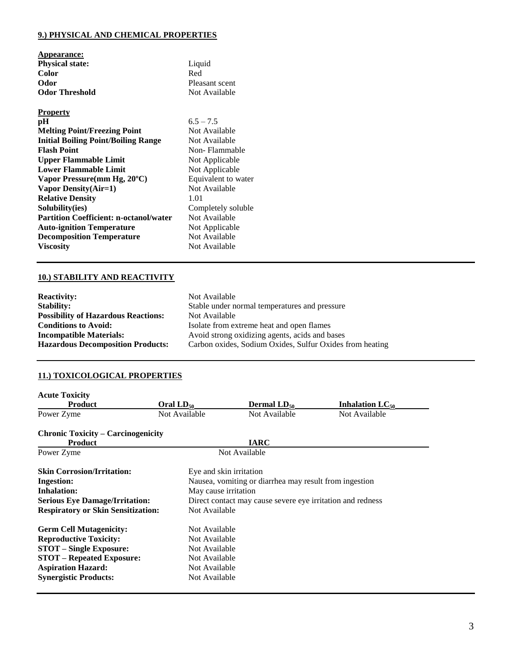## **9.) PHYSICAL AND CHEMICAL PROPERTIES**

| Appearance:                                             |                |
|---------------------------------------------------------|----------------|
| <b>Physical state:</b>                                  | Liquid         |
| <b>Color</b>                                            | Red            |
| Odor                                                    | Pleasant scent |
| <b>Odor Threshold</b>                                   | Not Available  |
| <b>Property</b>                                         |                |
| pH                                                      | $6.5 - 7.5$    |
| <b>Melting Point/Freezing Point</b>                     | Not Available  |
| $\mathbf{r}$ $\mathbf{n}$ , $\mathbf{n}$ , $\mathbf{n}$ | <b>ATA</b> 11  |

| Meithe I bint Freezing I bint                 | $NUL$ Available     |
|-----------------------------------------------|---------------------|
| <b>Initial Boiling Point/Boiling Range</b>    | Not Available       |
| <b>Flash Point</b>                            | Non-Flammable       |
| <b>Upper Flammable Limit</b>                  | Not Applicable      |
| <b>Lower Flammable Limit</b>                  | Not Applicable      |
| Vapor Pressure(mm Hg, 20°C)                   | Equivalent to water |
| Vapor Density (Air=1)                         | Not Available       |
| <b>Relative Density</b>                       | 1.01                |
| Solubility(ies)                               | Completely soluble  |
| <b>Partition Coefficient: n-octanol/water</b> | Not Available       |
| <b>Auto-ignition Temperature</b>              | Not Applicable      |
| <b>Decomposition Temperature</b>              | Not Available       |
| <b>Viscosity</b>                              | Not Available       |
|                                               |                     |

**Not Available Non-Flammable Not Applicable** Not Available Completely soluble **Not Available** 

## **10.) STABILITY AND REACTIVITY**

| <b>Reactivity:</b>                         | Not Available                                            |
|--------------------------------------------|----------------------------------------------------------|
| <b>Stability:</b>                          | Stable under normal temperatures and pressure            |
| <b>Possibility of Hazardous Reactions:</b> | Not Available                                            |
| <b>Conditions to Avoid:</b>                | Isolate from extreme heat and open flames                |
| <b>Incompatible Materials:</b>             | Avoid strong oxidizing agents, acids and bases           |
| <b>Hazardous Decomposition Products:</b>   | Carbon oxides, Sodium Oxides, Sulfur Oxides from heating |

## **11.) TOXICOLOGICAL PROPERTIES**

| <b>Acute Toxicity</b>                     |                |                                                            |                                    |  |
|-------------------------------------------|----------------|------------------------------------------------------------|------------------------------------|--|
| Product                                   | Oral $LD_{50}$ | <b>Dermal LD</b> <sub>50</sub>                             | <b>Inhalation LC</b> <sub>50</sub> |  |
| Power Zyme                                | Not Available  | Not Available                                              | Not Available                      |  |
| <b>Chronic Toxicity – Carcinogenicity</b> |                |                                                            |                                    |  |
| <b>Product</b>                            |                | <b>IARC</b>                                                |                                    |  |
| Power Zyme                                |                | Not Available                                              |                                    |  |
| <b>Skin Corrosion/Irritation:</b>         |                | Eye and skin irritation                                    |                                    |  |
| <b>Ingestion:</b>                         |                | Nausea, vomiting or diarrhea may result from ingestion     |                                    |  |
| <b>Inhalation:</b>                        |                | May cause irritation                                       |                                    |  |
| <b>Serious Eye Damage/Irritation:</b>     |                | Direct contact may cause severe eye irritation and redness |                                    |  |
| <b>Respiratory or Skin Sensitization:</b> |                | Not Available                                              |                                    |  |
| <b>Germ Cell Mutagenicity:</b>            | Not Available  |                                                            |                                    |  |
| <b>Reproductive Toxicity:</b>             |                | Not Available                                              |                                    |  |
| <b>STOT</b> – Single Exposure:            |                | Not Available                                              |                                    |  |
| <b>STOT – Repeated Exposure:</b>          |                | Not Available                                              |                                    |  |
| <b>Aspiration Hazard:</b>                 |                | Not Available                                              |                                    |  |
| <b>Synergistic Products:</b>              |                | Not Available                                              |                                    |  |